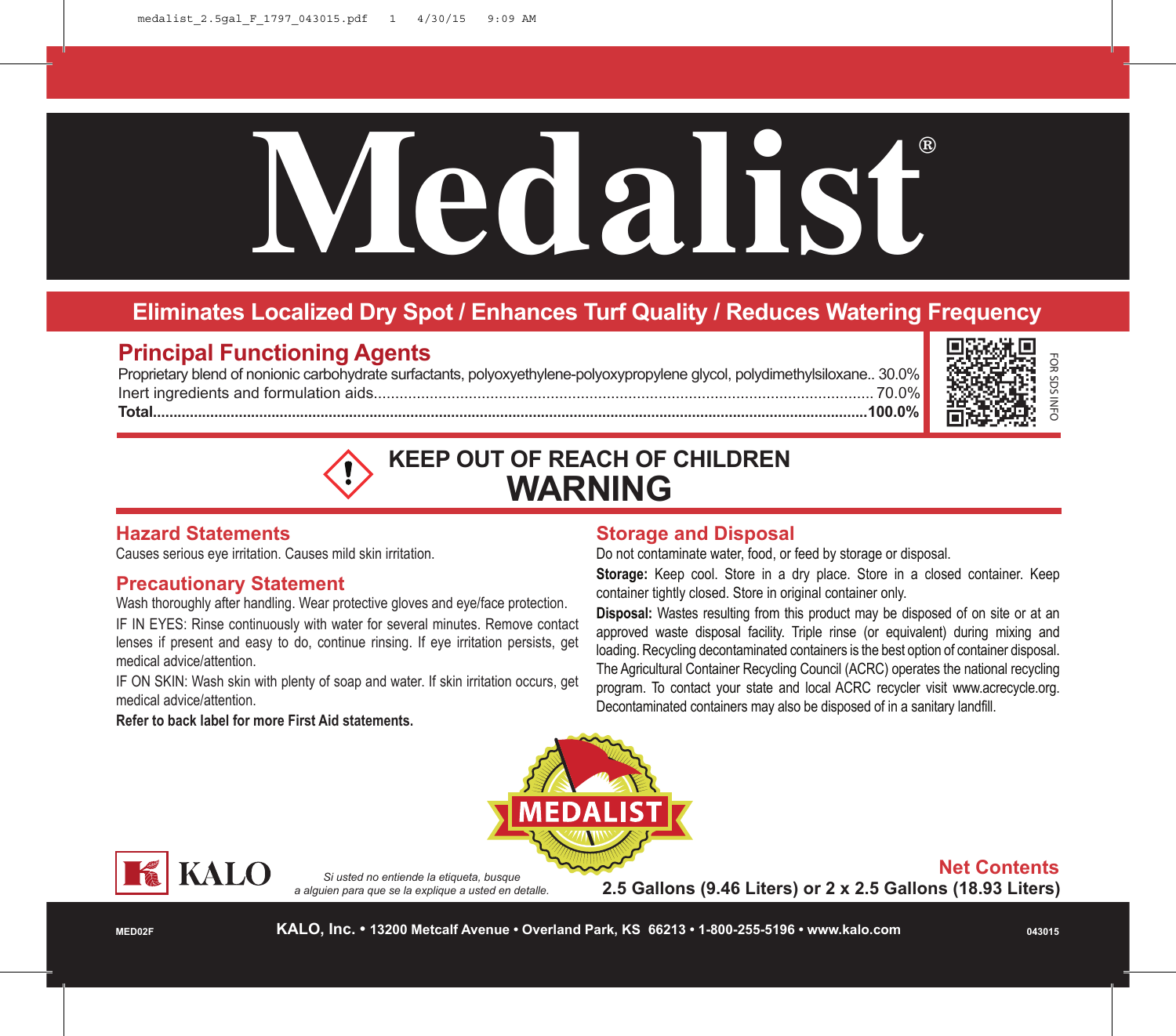# **Medalist®**

# **Eliminates Localized Dry Spot / Enhances Turf Quality / Reduces Watering Frequency**

# **Principal Functioning Agents**

Proprietary blend of nonionic carbohydrate surfactants, polyoxyethylene-polyoxypropylene glycol, polydimethylsiloxane.. 30.0% Inert ingredients and formulation aids.................................................................................................................... 70.0% **Total...............................................................................................................................................................................100.0%**





# **Hazard Statements**

Causes serious eye irritation. Causes mild skin irritation.

## **Precautionary Statement**

Wash thoroughly after handling. Wear protective gloves and eye/face protection.

IF IN EYES: Rinse continuously with water for several minutes. Remove contact lenses if present and easy to do, continue rinsing. If eye irritation persists, get medical advice/attention.

IF ON SKIN: Wash skin with plenty of soap and water. If skin irritation occurs, get medical advice/attention.

## **Refer to back label for more First Aid statements.**

# **Storage and Disposal**

Do not contaminate water, food, or feed by storage or disposal.

**Storage:** Keep cool. Store in a dry place. Store in a closed container. Keep container tightly closed. Store in original container only.

**Disposal:** Wastes resulting from this product may be disposed of on site or at an approved waste disposal facility. Triple rinse (or equivalent) during mixing and loading. Recycling decontaminated containers is the best option of container disposal. The Agricultural Container Recycling Council (ACRC) operates the national recycling program. To contact your state and local ACRC recycler visit www.acrecycle.org. Decontaminated containers may also be disposed of in a sanitary landfill.





*Si usted no entiende la etiqueta, busque a alguien para que se la explique a usted en detalle.* **Net Contents**

**2.5 Gallons (9.46 Liters) or 2 x 2.5 Gallons (18.93 Liters)**

**MED02F**

**KALO, Inc. • 13200 Metcalf Avenue • Overland Park, KS 66213 • 1-800-255-5196 • www.kalo.com**